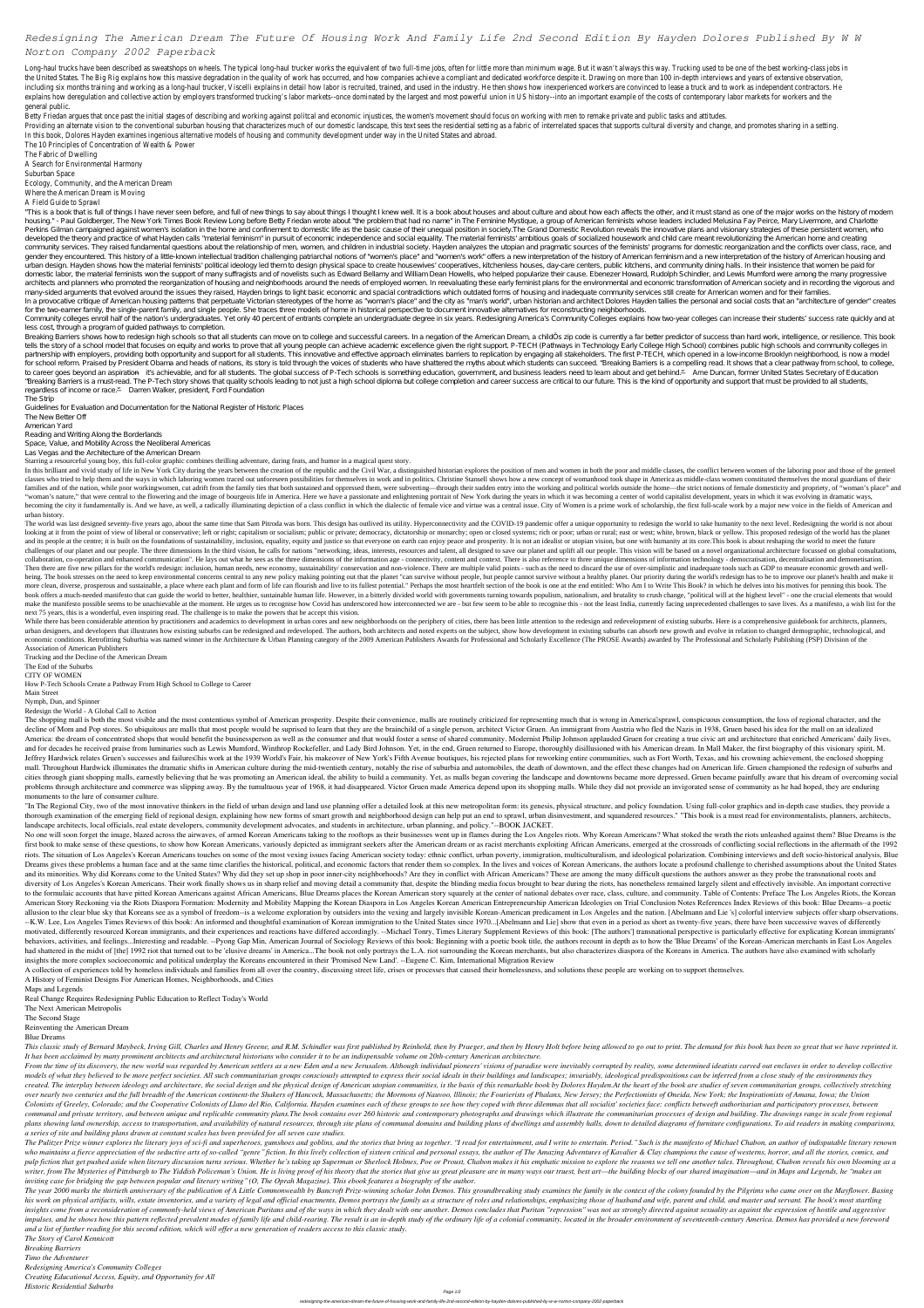# *Redesigning The American Dream The Future Of Housing Work And Family Life 2nd Second Edition By Hayden Dolores Published By W W Norton Company 2002 Paperback*

Long-haul trucks have been described as sweatshops on wheels. The typical long-haul trucker works the equivalent of two full-time jobs, often for little more than minimum wage. But it wasn't always this way. Trucking used the United States. The Big Rig explains how this massive degradation in the quality of work has occurred, and how companies achieve a compliant and dedicated workforce despite it. Drawing on more than 100 in-depth intervie including six months training and working as a long-haul trucker, Viscelli explains in detail how labor is recruited, trained, and used in the industry. He then shows how inexperienced workers are convinced to lease a truc explains how deregulation and collective action by employers transformed trucking's labor markets--once dominated by the largest and most powerful union in US history--into an important example of the costs of contemporary general public.

Betty Friedan argues that once past the initial stages of describing and working against politcal and economic injustices, the women's movement should focus on working with men to remake private and public tasks and attitu Providing an alternate vision to the conventional suburban housing that characterizes much of our domestic landscape, this text sees the residential setting as a fabric of interrelated spaces that supports cultural diversi In this book, Dolores Hayden examines ingenious alternative models of housing and community development under way in the United States and abroa

The 10 Principles of Concentration of Wealth & Power

The Fabric of Dwelling

A Search for Environmental Harmony

Suburban Space

Ecology, Community, and the American Dream

Where the American Dream is Moving

## A Field Guide to Sprawl

"This is a book that is full of things I have never seen before, and full of new things to say about things I thought I knew well. It is a book about houses and about culture and about how each affects the other, and it mu housing." - Paul Goldberger, The New York Times Book Review Long before Betty Friedan wrote about "the problem that had no name" in The Feminine Mystique, a group of American feminists whose leaders included Melusina Fay P Perkins Gilman campaigned against women's isolation in the home and confinement to domestic life as the basic cause of their unequal position in society. The Grand Domestic Revolution reveals the innovative plans and visio developed the theory and practice of what Hayden calls "material feminism" in pursuit of economic independence and social equality. The material feminists' ambitious goals of socialized housework and child care meant revol community services. They raised fundamental questions about the relationship of men, women, and children in industrial society. Hayden analyzes the utopian and pragmatic sources of the feminists' programs for domestic reor gender they encountered. This history of a little-known intellectual tradition challenging patriarchal notions of "women's place" and "women's work" offers a new interpretation of the history of American feminism and a new urban design. Hayden shows how the material feminists' political ideology led them to design physical space to create housewives' cooperatives, kitchenless houses, day-care centers, public kitchens, and community dining ha domestic labor, the material feminists won the support of many suffragists and of novelists such as Edward Bellamy and William Dean Howells, who helped popularize their cause. Ebenezer Howard, Rudolph Schindler, and Lewis architects and planners who promoted the reorganization of housing and neighborhoods around the needs of employed women. In reevaluating these early feminist plans for the environmental and economic transformation of Ameri many-sided arguments that evolved around the issues they raised. Hayden brings to light basic economic and spacial contradictions which outdated forms of housing and inadequate community services still create for American In a provocative critique of American housing patterns that perpetuate Victorian stereotypes of the home as "woman's place" and the city as "man's world", urban historian and architect Dolores Hayden tallies the personal a for the two-earner family, the single-parent family, and single people. She traces three models of home in historical perspective to document innovative alternatives for reconstructing neighborhoods.

Community colleges enroll half of the nation's undergraduates. Yet only 40 percent of entrants complete an undergraduate degree in six years. Redesigning America's Community Colleges explains how two-year colleges can incr less cost, through a program of guided pathways to completion.

Breaking Barriers shows how to redesign high schools so that all students can move on to college and successful careers. In a negation of the American Dream, a childÕs zip code is currently a far better predictor of succes tells the story of a school model that focuses on equity and works to prove that all young people can achieve academic excellence given the right support P-TECH (Pathways in Technology Early College High School) combines p partnership with employers, providing both opportunity and support for all students. This innovative and effective approach eliminates barriers to replication by engaging all stakeholders. The first P-TECH, which opened in for school reform. Praised by President Obama and heads of nations, its story is told through the voices of students who have shattered the myths about which students can succeed. " Breaking Barriers is a compelling read. to career goes beyond an aspiration-it sachievable, and for all students. The global success of P-Tech schools is something education, government, and business leaders need to learn about and get behind." -Arne Duncan, for " Breaking Barriers is a must-read. The P-Tech story shows that quality schools leading to not just a high school diploma but college completion and career success are critical to our future. This is the kind of opportunit regardless of income or race." —Darren Walker, president, Ford Foundation

In this brilliant and vivid study of life in New York City during the years between the creation of the republic and the Civil War, a distinguished historian explores the position of men and women in both the poor and midd classes who tried to help them and the ways in which laboring women traced out unforeseen possibilities for themselves in work and in politics. Christine Stansell shows how a new concept of womanhood took shape in America families and of the nation, while poor workingwomen, cut adrift from the family ties that both sustained and oppressed them, were subverting—through their sudden entry into the working and political worlds outside the home "woman's nature," that were central to the flowering and the image of bourgeois life in America. Here we have a passionate and enlightening portrait of New York during the years in which it was becoming a center of world c becoming the city it fundamentally is. And we have, as well, a radically illuminating depiction of a class conflict in which the dialectic of female vice and virtue was a central issue. City of Women is a prime work of sch urban history. The world was last designed seventy-five years ago, about the same time that Sam Pitroda was born. This design has outlived its utility. Hyperconnectivity and the COVID-19 pandemic offer a unique opportunity to redesign th looking at it from the point of view of liberal or conservative; left or right; capitalism or socialism; public or private; democracy, dictatorship or monarchy; open or closed systems; rich or poor; urban or rural; east or and its people at the centre; it is built on the foundations of sustainability, inclusion, equality, equity and justice so that everyone on earth can enjoy peace and prosperity. It is not an idealist or utopian vision, but challenges of our planet and our people. The three dimensions In the third vision, he calls for nations "networking, ideas, interests, resources and talent, all designed to save our planet and uplift all our people. This v collaboration, co-operation and enhanced communication". He lays out what he sees as the three dimensions of the information age - connectivity, content and context. There is also reference to three unique dimensions of in Then there are five new pillars for the world's redesign: inclusion, human needs, new economy, sustainability/ conservation and non-violence. There are multiple valid points - such as the need to discard the use of over-si being. The book stresses on the need to keep environmental concerns central to any new policy making pointing out that the planet "can survive without a healthy planet. Our priority during the world's redesign has to be to more clean, diverse, prosperous and sustainable, a place where each plant and form of life can flourish and live to its fullest potential." Perhaps the most heartfelt section of the book is one at the end entitled: Who Am book offers a much-needed manifesto that can guide the world to better, healthier, sustainable human life. However, in a bitterly divided world with governments turning towards populism, nationalism, and brutality to crush make the manifesto possible seems to be unachievable at the moment. He urges us to recognise how Covid has underscored how interconnected we are - but few seem to be able to recognise this - not the least India, currently next 75 years, this is a wonderful, even inspiring read. The challenge is to make the powers that be accept this vision. While there has been considerable attention by practitioners and academics to development in urban cores and new neighborhoods on the periphery of cities, there has been little attention to the redesign and redevelopment o urban designers, and developers that illustrates how existing suburbs can be redesigned and redeveloped. The authors, both architects and noted experts on the subject, show how development in existing suburbs can absorb ne economic conditions. Retrofitting Suburbia was named winner in the Architecture & Urban Planning category of the 2009 American Publishers Awards for Professional and Scholarly Excellence (The PROSE Awards) awarded by The P Association of American Publishers

The Strip

Guidelines for Evaluation and Documentation for the National Register of Historic Places

The New Better Off American Yard Reading and Writing Along the Borderlands Space, Value, and Mobility Across the Neoliberal Americas Las Vegas and the Architecture of the American Dream

Starring a resourceful young boy, this full-color graphic combines thrilling adventure, daring feats, and humor in a magical quest story.

The shopping mall is both the most visible and the most contentious symbol of American prosperity. Despite their convenience, malls are routinely criticized for representing much that is wrong in AmericalSprawl, conspicuou decline of Mom and Pop stores. So ubiquitous are malls that most people would be suprised to learn that they are the brainchild of a single person, architect Victor Gruen. An immigrant from Austria who fled the Nazis in 19 America: the dream of concentrated shops that would benefit the businessperson as well as the consumer and that would foster a sense of shared community. Modernist Philip Johnson applauded Gruen for creating a true civic a and for decades he received praise from luminaries such as Lewis Mumford, Winthrop Rockefeller, and Lady Bird Johnson. Yet, in the end, Gruen returned to Europe, thoroughly disillusioned with his American dream. In Mall Ma Jeffrey Hardwick relates Gruen's successes and failures his work at the 1939 World's Fair, his make over of New York's Fifth Avenue boutiques, his rejected plans for reworking entire communities, such as Fort Worth, Texas, mall. Throughout Hardwick illuminates the dramatic shifts in American culture during the mid-twentieth century, notably the rise of suburbia and automobiles, the death of downtown, and the effect these changes had on Ameri cities through giant shopping malls, earnestly believing that he was promoting an American ideal, the ability to build a community. Yet, as malls began covering the landscape and downtowns became more depressed, Gruen beca problems through architecture and commerce was slipping away. By the tumultuous year of 1968, it had disappeared. Victor Gruen made America depend upon its shopping malls. While they did not provide an invigorated sense of monuments to the lure of consumer culture.

"In The Regional City, two of the most innovative thinkers in the field of urban design and land use planning offer a detailed look at this new metropolitan form: its genesis, physical structure, and policy foundation. Usi thorough examination of the emerging field of regional design, explaining how new forms of smart growth and neighborhood design can help put an end to sprawl, urban disinvestment, and squandered resources." "This book is a landscape architects, local officials, real estate developers, community development advocates, and students in architecture, urban planning, and policy."--BOOK JACKET.

No one will soon forget the image, blazed across the airwaves, of armed Korean Americans taking to the rooftops as their businesses went up in flames during the Los Angeles riots. Why Korean Americans? What stoked the wrat first book to make sense of these questions, to show how Korean Americans, variously depicted as immigrant seekers after the American dream or as racist merchants exploiting African Americans, emerged at the crossroads of riots. The situation of Los Angeles's Korean Americans touches on some of the most vexing issues facing American society today: ethnic conflict, urban poverty, immigration, multiculturalism, and ideological polarization. C Dreams gives these problems a human face and at the same time clarifies the historical, political, and economic factors that render them so complex. In the lives and voices of Korean Americans, the authors locate a profoun and its minorities. Why did Koreans come to the United States? Why did they set up shop in poor inner-city neighborhoods? Are they in conflict with African Americans? These are among the many difficult questions the author diversity of Los Angeles's Korean Americans. Their work finally shows us in sharp relief and moving detail a community that, despite the blinding media focus brought to bear during the riots, has nonetheless remained large to the formulaic accounts that have pitted Korean Americans against African Americans, Blue Dreams places the Korean American story squarely at the center of national debates over race, class, culture, and community. Table American Story Reckoning via the Riots Diaspora Formation: Modernity and Mobility Mapping the Korean Diaspora in Los Angeles Korean American Entrepreneurship American Ideologies on Trial Conclusion Notes References Index R allusion to the clear blue sky that Koreans see as a symbol of freedom--is a welcome exploration by outsiders into the vexing and largely invisible Korean-American predicament in Los Angeles and the nation. [Abelmann and L --K.W. Lee, Los Angeles Times Reviews of this book: An informed and thoughtful examination of Korean immigration to the United States since 1970...[Abelmann and Lie] show that even in a period as short as twenty-five years motivated, differently resourced Korean immigrants, and their experiences and reactions have differed accordingly. --Michael Tonry, Times Literary Supplement Reviews of this book: [The authors'] transnational perspective i behaviors, activities, and feelings...Interesting and readable. --Pyong Gap Min, American Journal of Sociology Reviews of this book: Beginning with a poetic book title, the authors recount in depth as to how the 'Blue Drea had shattered in the midst of [the] 1992 riot that turned out to be 'elusive dreams' in America...The book not only portrays the L.A. riot surrounding the Korean merchants, but also characterizes diaspora of the Koreans in insights the more complex socioeconomic and political underplay the Koreans encountered in their 'Promised New Land'. --Eugene C. Kim, International Migration Review

A collection of experiences told by homeless individuals and families from all over the country, discussing street life, crises or processes that caused their homelessness, and solutions these people are working on to supp

This classic study of Bernard Maybeck, Irving Gill, Charles and Henry Greene, and R.M. Schindler was first published by Reinhold, then by Henry Holt before being allowed to go out to print. The demand for this book has bee *It has been acclaimed by many prominent architects and architectural historians who consider it to be an indispensable volume on 20th-century American architecture.*

From the time of its discovery, the new world was regarded by American settlers as a new Eden and a new Jerusalem. Although individual pioneers' visions of paradise were inevitably corrupted by reality, some determined ide models of what they believed to be more perfect societies. All such communitarian groups consciously attempted to express their social ideals in their buildings and landscapes; invariably, ideological predispositions can b created. The interplay between ideology and architecture, the social design and the physical design of American utopian communities, is the basis of this remarkable book by Dolores Hayden.At the heart of the book are studi over nearly two centuries and the full breadth of the American continent-the Shakers of Hancock, Massachusetts; the Mormons of Nauvoo, Illinois; the Fourierists of Phalanx, New Jersey; the Perfectionists of Oneida, New Yor Colonists of Greeley, Colorado; and the Cooperative Colonists of Llano del Rio, California. Hayden examines each of these groups to see how they coped with three dilemmas that all socialist' societies face: conflicts betwe communal and private territory, and between unique and replicable community plans. The book contains over 260 historic and contemporary photographs and drawings which illustrate the communitarian processes of design and bu plans showing land ownership, access to transportation, and availability of natural resources, through site plans of communal domains and building plans of dwellings and assembly halls, down to detailed diagrams of furnitu *a series of site and building plans drawn at constant scales has been provided for all seven case studies.*

The Pulitzer Prize winner explores the literary joys of sci-fi and superheroes, gumshoes and goblins, and the stories that bring us together. "I read for entertainment, and I write to entertain. Period." Such is the manife who maintains a fierce appreciation of the seductive arts of so-called "genre" fiction. In this lively collection of sixteen critical and personal essays, the author of The Amazing Adventures of Kavalier & Clay champions t pulp fiction that get pushed aside when literary discussion turns serious. Whether he's taking up Superman or Sherlock Holmes, Poe or Proust, Chabon makes it his emphatic mission to explore the reasons we tell one another writer, from The Mysteries of Pittsburgh to The Yiddish Policeman's Union. He is living proof of his theory that the stories that give us great pleasure are in many ways our truest, best art—the building blocks of our shar *inviting case for bridging the gap between popular and literary writing" (O, The Oprah Magazine). This ebook features a biography of the author.*

The year 2000 marks the thirtieth anniversary of the publication of A Little Commonwealth by Bancroft Prize-winning scholar John Demos. This groundbreaking study examines the family in the context of the colony founded by his work on physical artifacts, wills, estate inventories, and a variety of legal and official enactments, Demos portrays the family as a structure of roles and relationships, emphasizing those of husband and wife, parent insights come from a reconsideration of commonly-held views of American Puritans and of the ways in which they dealt with one another. Demos concludes that Puritan "repression" was not as strongly directed against sexualit impulses, and he shows how this pattern reflected prevalent modes of family life and child-rearing. The result is an in-depth study of the ordinary life of a colonial community, located in the broader environment of sevent *and a list of further reading for this second edition, which will offer a new generation of readers access to this classic study.*

Trucking and the Decline of the American Dream The End of the Suburbs CITY OF WOMEN How P-Tech Schools Create a Pathway From High School to College to Career Main Street

Nymph, Dun, and Spinner

Redesign the World - A Global Call to Action

A History of Feminist Designs For American Homes, Neighborhoods, and Cities

Maps and Legends

Real Change Requires Redesigning Public Education to Reflect Today's World

The Next American Metropolis

The Second Stage

Reinventing the American Dream

Blue Dreams

*The Story of Carol Kennicott Breaking Barriers Timo the Adventurer Redesigning America's Community Colleges Creating Educational Access, Equity, and Opportunity for All Historic Residential Suburbs*